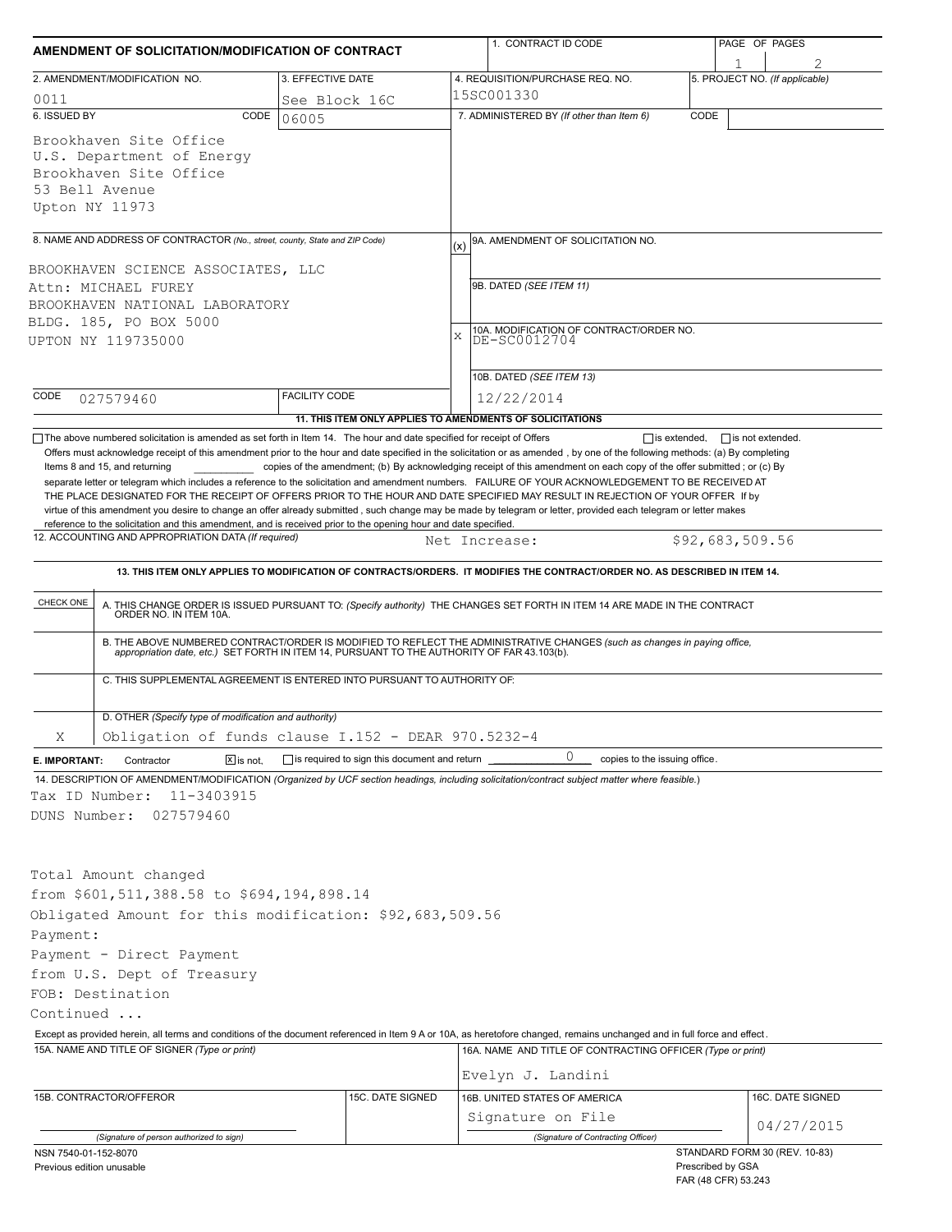| AMENDMENT OF SOLICITATION/MODIFICATION OF CONTRACT                                                                                                                                                                                  |                                                                                                    | 1. CONTRACT ID CODE                                                                                                                                                                                                                                                                                                                                | PAGE OF PAGES                                      |  |  |  |
|-------------------------------------------------------------------------------------------------------------------------------------------------------------------------------------------------------------------------------------|----------------------------------------------------------------------------------------------------|----------------------------------------------------------------------------------------------------------------------------------------------------------------------------------------------------------------------------------------------------------------------------------------------------------------------------------------------------|----------------------------------------------------|--|--|--|
| 2. AMENDMENT/MODIFICATION NO.                                                                                                                                                                                                       | 3. EFFECTIVE DATE                                                                                  | 4. REQUISITION/PURCHASE REQ. NO.                                                                                                                                                                                                                                                                                                                   | 2<br>5. PROJECT NO. (If applicable)                |  |  |  |
|                                                                                                                                                                                                                                     |                                                                                                    | 15SC001330                                                                                                                                                                                                                                                                                                                                         |                                                    |  |  |  |
| 0011<br>6. ISSUED BY<br>CODE                                                                                                                                                                                                        | See Block 16C<br>06005                                                                             | 7. ADMINISTERED BY (If other than Item 6)                                                                                                                                                                                                                                                                                                          | CODE                                               |  |  |  |
| Brookhaven Site Office<br>U.S. Department of Energy<br>Brookhaven Site Office<br>53 Bell Avenue<br>Upton NY 11973                                                                                                                   |                                                                                                    |                                                                                                                                                                                                                                                                                                                                                    |                                                    |  |  |  |
|                                                                                                                                                                                                                                     |                                                                                                    |                                                                                                                                                                                                                                                                                                                                                    |                                                    |  |  |  |
| 8. NAME AND ADDRESS OF CONTRACTOR (No., street, county, State and ZIP Code)<br>BROOKHAVEN SCIENCE ASSOCIATES, LLC<br>Attn: MICHAEL FUREY<br>BROOKHAVEN NATIONAL LABORATORY<br>BLDG. 185, PO BOX 5000<br>UPTON NY 119735000          |                                                                                                    | 9A. AMENDMENT OF SOLICITATION NO.<br>(x)<br>9B. DATED (SEE ITEM 11)<br>10A. MODIFICATION OF CONTRACT/ORDER NO.<br>X<br>DE-SC0012704                                                                                                                                                                                                                |                                                    |  |  |  |
|                                                                                                                                                                                                                                     |                                                                                                    | 10B. DATED (SEE ITEM 13)                                                                                                                                                                                                                                                                                                                           |                                                    |  |  |  |
| CODE<br>027579460                                                                                                                                                                                                                   | <b>FACILITY CODE</b>                                                                               | 12/22/2014<br>11. THIS ITEM ONLY APPLIES TO AMENDMENTS OF SOLICITATIONS                                                                                                                                                                                                                                                                            |                                                    |  |  |  |
| reference to the solicitation and this amendment, and is received prior to the opening hour and date specified.<br>12. ACCOUNTING AND APPROPRIATION DATA (If required)                                                              |                                                                                                    | THE PLACE DESIGNATED FOR THE RECEIPT OF OFFERS PRIOR TO THE HOUR AND DATE SPECIFIED MAY RESULT IN REJECTION OF YOUR OFFER If by<br>virtue of this amendment you desire to change an offer already submitted, such change may be made by telegram or letter, provided each telegram or letter makes<br>Net Increase:                                | \$92,683,509.56                                    |  |  |  |
|                                                                                                                                                                                                                                     |                                                                                                    | 13. THIS ITEM ONLY APPLIES TO MODIFICATION OF CONTRACTS/ORDERS. IT MODIFIES THE CONTRACT/ORDER NO. AS DESCRIBED IN ITEM 14.                                                                                                                                                                                                                        |                                                    |  |  |  |
| CHECK ONE<br>ORDER NO. IN ITEM 10A.                                                                                                                                                                                                 | C. THIS SUPPLEMENTAL AGREEMENT IS ENTERED INTO PURSUANT TO AUTHORITY OF:                           | A. THIS CHANGE ORDER IS ISSUED PURSUANT TO: (Specify authority) THE CHANGES SET FORTH IN ITEM 14 ARE MADE IN THE CONTRACT<br>B. THE ABOVE NUMBERED CONTRACT/ORDER IS MODIFIED TO REFLECT THE ADMINISTRATIVE CHANGES (such as changes in paying office, appropriation date, etc.) SET FORTH IN ITEM 14, PURSUANT TO THE AUTHORITY OF FAR 43.103(b). |                                                    |  |  |  |
| D. OTHER (Specify type of modification and authority)                                                                                                                                                                               |                                                                                                    |                                                                                                                                                                                                                                                                                                                                                    |                                                    |  |  |  |
| Χ                                                                                                                                                                                                                                   | Obligation of funds clause I.152 - DEAR 970.5232-4<br>is required to sign this document and return | 0                                                                                                                                                                                                                                                                                                                                                  |                                                    |  |  |  |
| $\boxed{\mathsf{X}}$ is not.<br>Contractor<br>E. IMPORTANT:<br>Tax ID Number:<br>11-3403915<br>DUNS Number:<br>027579460                                                                                                            |                                                                                                    | copies to the issuing office.<br>14. DESCRIPTION OF AMENDMENT/MODIFICATION (Organized by UCF section headings, including solicitation/contract subject matter where feasible.)                                                                                                                                                                     |                                                    |  |  |  |
| Total Amount changed<br>from \$601,511,388.58 to \$694,194,898.14<br>Obligated Amount for this modification: \$92,683,509.56<br>Payment:<br>Payment - Direct Payment<br>from U.S. Dept of Treasury<br>FOB: Destination<br>Continued |                                                                                                    |                                                                                                                                                                                                                                                                                                                                                    |                                                    |  |  |  |
|                                                                                                                                                                                                                                     |                                                                                                    | Except as provided herein, all terms and conditions of the document referenced in Item 9 A or 10A, as heretofore changed, remains unchanged and in full force and effect.                                                                                                                                                                          |                                                    |  |  |  |
| 15A. NAME AND TITLE OF SIGNER (Type or print)                                                                                                                                                                                       |                                                                                                    | 16A. NAME AND TITLE OF CONTRACTING OFFICER (Type or print)<br>Evelyn J. Landini                                                                                                                                                                                                                                                                    |                                                    |  |  |  |
| 15B. CONTRACTOR/OFFEROR                                                                                                                                                                                                             | 15C. DATE SIGNED                                                                                   | 16B. UNITED STATES OF AMERICA<br>Signature on File                                                                                                                                                                                                                                                                                                 | 16C. DATE SIGNED                                   |  |  |  |
| (Signature of person authorized to sign)                                                                                                                                                                                            |                                                                                                    | (Signature of Contracting Officer)                                                                                                                                                                                                                                                                                                                 | 04/27/2015                                         |  |  |  |
| NSN 7540-01-152-8070<br>Previous edition unusable                                                                                                                                                                                   |                                                                                                    |                                                                                                                                                                                                                                                                                                                                                    | STANDARD FORM 30 (REV. 10-83)<br>Prescribed by GSA |  |  |  |

FAR (48 CFR) 53.243